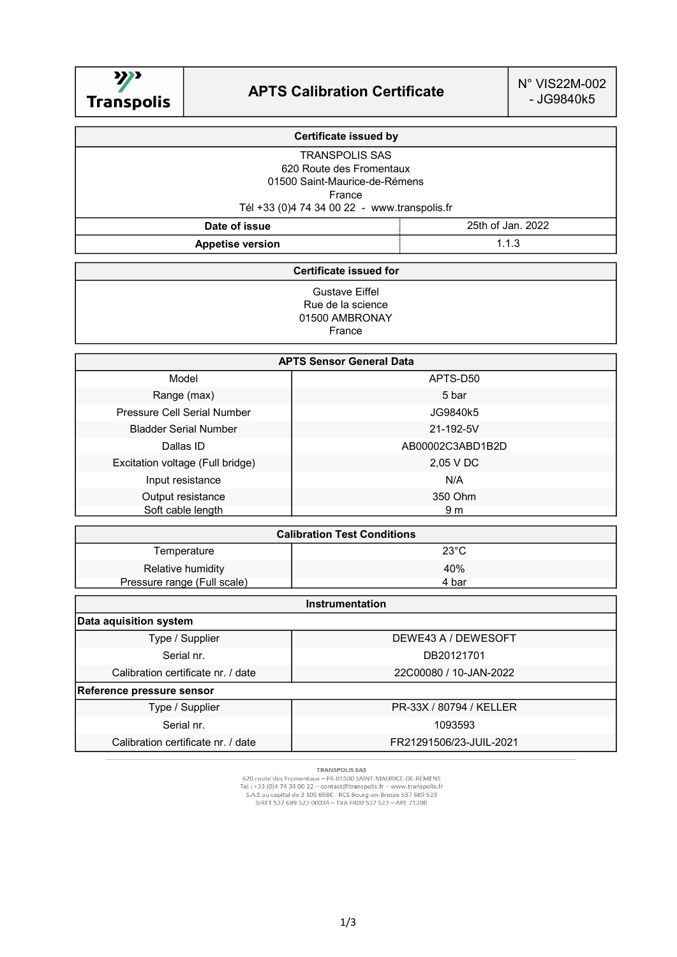

| <b>Certificate issued by</b>                 |                   |  |
|----------------------------------------------|-------------------|--|
| <b>TRANSPOLIS SAS</b>                        |                   |  |
| 620 Route des Fromentaux                     |                   |  |
| 01500 Saint-Maurice-de-Rémens                |                   |  |
| France                                       |                   |  |
| Tél +33 (0)4 74 34 00 22 - www.transpolis.fr |                   |  |
| Date of issue                                | 25th of Jan. 2022 |  |
| <b>Appetise version</b>                      | 1.1.3             |  |

## Certificate issued for

Gustave Eiffel Rue de la science 01500 AMBRONAY France

| <b>APTS Sensor General Data</b>    |                  |  |
|------------------------------------|------------------|--|
| Model                              | APTS-D50         |  |
| Range (max)                        | 5 bar            |  |
| <b>Pressure Cell Serial Number</b> | JG9840k5         |  |
| <b>Bladder Serial Number</b>       | 21-192-5V        |  |
| Dallas ID                          | AB00002C3ABD1B2D |  |
| Excitation voltage (Full bridge)   | 2,05 V DC        |  |
| Input resistance                   | N/A              |  |
| Output resistance                  | 350 Ohm          |  |
| Soft cable length                  | 9 m              |  |

| <b>Calibration Test Conditions</b> |                |  |
|------------------------------------|----------------|--|
| Temperature                        | $23^{\circ}$ C |  |
| Relative humidity                  | 40%            |  |
| Pressure range (Full scale)        | 4 bar          |  |

| <b>Instrumentation</b>             |                         |  |  |
|------------------------------------|-------------------------|--|--|
| Data aquisition system             |                         |  |  |
| Type / Supplier                    | DEWE43 A / DEWESOFT     |  |  |
| Serial nr.                         | DB20121701              |  |  |
| Calibration certificate nr. / date | 22C00080 / 10-JAN-2022  |  |  |
| Reference pressure sensor          |                         |  |  |
| Type / Supplier                    | PR-33X / 80794 / KELLER |  |  |
| Serial nr.                         | 1093593                 |  |  |
| Calibration certificate nr. / date | FR21291506/23-JUIL-2021 |  |  |

**TRANSPOLIS SAS** 

TRANSPOLIS SAS<br>Tel : +33 (0)4 74 34 00 22 -- contact@transpolis.fr -- www.transpolis.fr<br>S.A.S au capital de 2 109 698€ - RCS Bourg-en-Bresse 537 689 523<br>SIRET 537 689 523 00034 -- TVA FR00 537 523 -- APE 7120B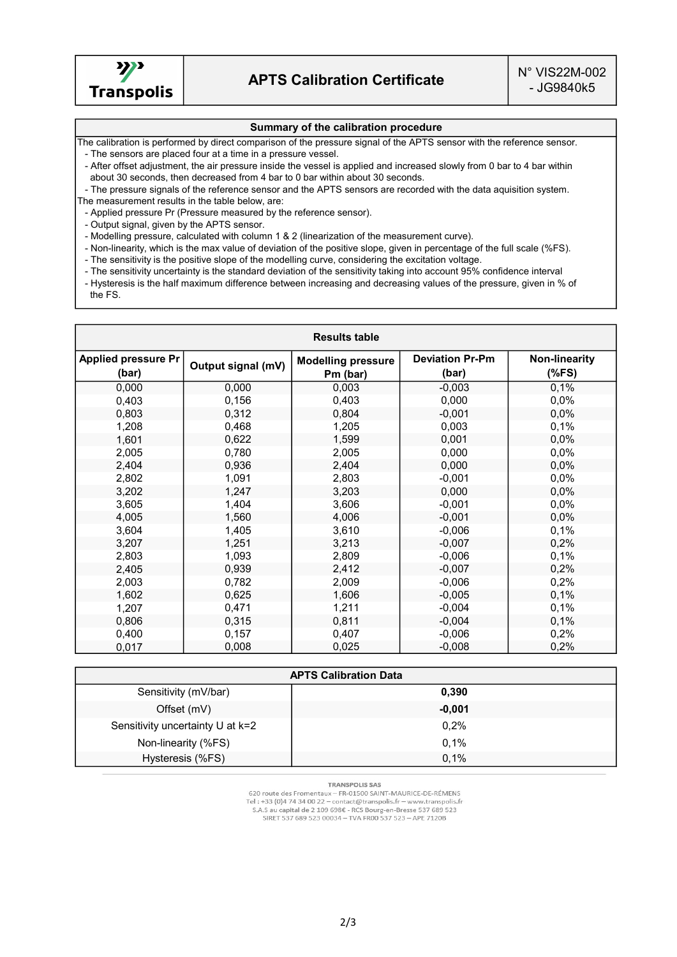

## Summary of the calibration procedure

The calibration is performed by direct comparison of the pressure signal of the APTS sensor with the reference sensor. - The sensors are placed four at a time in a pressure vessel.

 - After offset adjustment, the air pressure inside the vessel is applied and increased slowly from 0 bar to 4 bar within about 30 seconds, then decreased from 4 bar to 0 bar within about 30 seconds.

 - The pressure signals of the reference sensor and the APTS sensors are recorded with the data aquisition system. The measurement results in the table below, are:

- Applied pressure Pr (Pressure measured by the reference sensor).

- Output signal, given by the APTS sensor.

- Modelling pressure, calculated with column 1 & 2 (linearization of the measurement curve).

- Non-linearity, which is the max value of deviation of the positive slope, given in percentage of the full scale (%FS).

- The sensitivity is the positive slope of the modelling curve, considering the excitation voltage.

- The sensitivity uncertainty is the standard deviation of the sensitivity taking into account 95% confidence interval

 - Hysteresis is the half maximum difference between increasing and decreasing values of the pressure, given in % of the FS.

| <b>Results table</b>                |                    |                                       |                                 |                          |
|-------------------------------------|--------------------|---------------------------------------|---------------------------------|--------------------------|
| <b>Applied pressure Pr</b><br>(bar) | Output signal (mV) | <b>Modelling pressure</b><br>Pm (bar) | <b>Deviation Pr-Pm</b><br>(bar) | Non-linearity<br>$(*FS)$ |
| 0,000                               | 0,000              | 0,003                                 | $-0,003$                        | 0,1%                     |
| 0,403                               | 0,156              | 0,403                                 | 0,000                           | 0,0%                     |
| 0,803                               | 0,312              | 0,804                                 | $-0,001$                        | 0,0%                     |
| 1,208                               | 0,468              | 1,205                                 | 0,003                           | 0,1%                     |
| 1,601                               | 0,622              | 1,599                                 | 0,001                           | 0,0%                     |
| 2,005                               | 0,780              | 2,005                                 | 0,000                           | 0,0%                     |
| 2,404                               | 0,936              | 2,404                                 | 0,000                           | 0,0%                     |
| 2,802                               | 1,091              | 2,803                                 | $-0,001$                        | 0,0%                     |
| 3,202                               | 1,247              | 3,203                                 | 0,000                           | 0,0%                     |
| 3,605                               | 1,404              | 3,606                                 | $-0,001$                        | 0,0%                     |
| 4,005                               | 1,560              | 4,006                                 | $-0,001$                        | 0,0%                     |
| 3,604                               | 1,405              | 3,610                                 | $-0,006$                        | 0,1%                     |
| 3,207                               | 1,251              | 3,213                                 | $-0,007$                        | 0,2%                     |
| 2,803                               | 1,093              | 2,809                                 | $-0,006$                        | 0,1%                     |
| 2,405                               | 0,939              | 2,412                                 | $-0,007$                        | 0,2%                     |
| 2,003                               | 0,782              | 2,009                                 | $-0,006$                        | 0,2%                     |
| 1,602                               | 0,625              | 1,606                                 | $-0,005$                        | 0,1%                     |
| 1,207                               | 0,471              | 1,211                                 | $-0,004$                        | 0,1%                     |
| 0,806                               | 0,315              | 0,811                                 | $-0,004$                        | 0,1%                     |
| 0,400                               | 0,157              | 0,407                                 | $-0,006$                        | 0,2%                     |
| 0,017                               | 0,008              | 0,025                                 | $-0,008$                        | 0,2%                     |

| <b>APTS Calibration Data</b>     |          |  |
|----------------------------------|----------|--|
| Sensitivity (mV/bar)             | 0,390    |  |
| Offset (mV)                      | $-0,001$ |  |
| Sensitivity uncertainty U at k=2 | 0,2%     |  |
| Non-linearity (%FS)              | 0.1%     |  |
| Hysteresis (%FS)                 | 0.1%     |  |

**TRANSPOLIS SAS** 

620 route des Fromentaux - FR-01500 SAINT-MAURICE-DE-RÉMENS<br>Tel : +33 (0)4 74 34 00 22 - contact@transpolis.fr - www.transpolis.fr S.A.S au capital de 2 109 698€ - RCS Bourg-en-Bresse 537 689 523<br>SIRET 537 689 523 00034 - TVA FR00 537 523 - APE 7120B